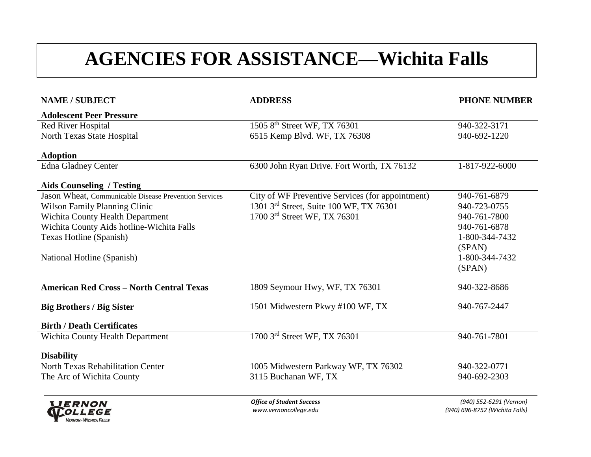# **AGENCIES FOR ASSISTANCE—Wichita Falls**

| <b>NAME / SUBJECT</b>                                 | <b>ADDRESS</b>                                   | <b>PHONE NUMBER</b>            |
|-------------------------------------------------------|--------------------------------------------------|--------------------------------|
| <b>Adolescent Peer Pressure</b>                       |                                                  |                                |
| <b>Red River Hospital</b>                             | 1505 8 <sup>th</sup> Street WF, TX 76301         | 940-322-3171                   |
| North Texas State Hospital                            | 6515 Kemp Blvd. WF, TX 76308                     | 940-692-1220                   |
| <b>Adoption</b>                                       |                                                  |                                |
| Edna Gladney Center                                   | 6300 John Ryan Drive. Fort Worth, TX 76132       | 1-817-922-6000                 |
| <b>Aids Counseling / Testing</b>                      |                                                  |                                |
| Jason Wheat, Communicable Disease Prevention Services | City of WF Preventive Services (for appointment) | 940-761-6879                   |
| <b>Wilson Family Planning Clinic</b>                  | 1301 3rd Street, Suite 100 WF, TX 76301          | 940-723-0755                   |
| Wichita County Health Department                      | 1700 3rd Street WF, TX 76301                     | 940-761-7800                   |
| Wichita County Aids hotline-Wichita Falls             |                                                  | 940-761-6878                   |
| Texas Hotline (Spanish)                               |                                                  | 1-800-344-7432                 |
|                                                       |                                                  | (SPAN)                         |
| National Hotline (Spanish)                            |                                                  | 1-800-344-7432                 |
|                                                       |                                                  | (SPAN)                         |
| <b>American Red Cross - North Central Texas</b>       | 1809 Seymour Hwy, WF, TX 76301                   | 940-322-8686                   |
| <b>Big Brothers / Big Sister</b>                      | 1501 Midwestern Pkwy #100 WF, TX                 | 940-767-2447                   |
| <b>Birth / Death Certificates</b>                     |                                                  |                                |
| <b>Wichita County Health Department</b>               | 1700 3rd Street WF, TX 76301                     | 940-761-7801                   |
| <b>Disability</b>                                     |                                                  |                                |
| <b>North Texas Rehabilitation Center</b>              | 1005 Midwestern Parkway WF, TX 76302             | 940-322-0771                   |
| The Arc of Wichita County                             | 3115 Buchanan WF, TX                             | 940-692-2303                   |
| <b>LIERNON</b>                                        | <b>Office of Student Success</b>                 | (940) 552-6291 (Vernon)        |
| <b>MOLLEGE</b>                                        | www.vernoncollege.edu                            | (940) 696-8752 (Wichita Falls) |

**VERNON - WICHITA FALLS**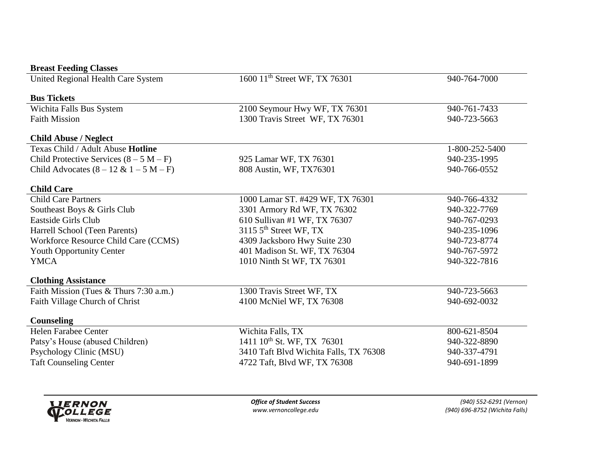| <b>Breast Feeding Classes</b>             |                                           |                |
|-------------------------------------------|-------------------------------------------|----------------|
| United Regional Health Care System        | 1600 11 <sup>th</sup> Street WF, TX 76301 | 940-764-7000   |
|                                           |                                           |                |
| <b>Bus Tickets</b>                        |                                           |                |
| Wichita Falls Bus System                  | 2100 Seymour Hwy WF, TX 76301             | 940-761-7433   |
| <b>Faith Mission</b>                      | 1300 Travis Street WF, TX 76301           | 940-723-5663   |
| <b>Child Abuse / Neglect</b>              |                                           |                |
| Texas Child / Adult Abuse Hotline         |                                           | 1-800-252-5400 |
| Child Protective Services $(8 - 5 M - F)$ | 925 Lamar WF, TX 76301                    | 940-235-1995   |
| Child Advocates $(8 - 12 \& 1 - 5 M - F)$ | 808 Austin, WF, TX76301                   | 940-766-0552   |
| <b>Child Care</b>                         |                                           |                |
| <b>Child Care Partners</b>                | 1000 Lamar ST. #429 WF, TX 76301          | 940-766-4332   |
| Southeast Boys & Girls Club               | 3301 Armory Rd WF, TX 76302               | 940-322-7769   |
| Eastside Girls Club                       | 610 Sullivan #1 WF, TX 76307              | 940-767-0293   |
| Harrell School (Teen Parents)             | 3115 $5th$ Street WF, TX                  | 940-235-1096   |
| Workforce Resource Child Care (CCMS)      | 4309 Jacksboro Hwy Suite 230              | 940-723-8774   |
| Youth Opportunity Center                  | 401 Madison St. WF, TX 76304              | 940-767-5972   |
| <b>YMCA</b>                               | 1010 Ninth St WF, TX 76301                | 940-322-7816   |
|                                           |                                           |                |
| <b>Clothing Assistance</b>                |                                           |                |
| Faith Mission (Tues & Thurs 7:30 a.m.)    | 1300 Travis Street WF, TX                 | 940-723-5663   |
| Faith Village Church of Christ            | 4100 McNiel WF, TX 76308                  | 940-692-0032   |
| Counseling                                |                                           |                |
| <b>Helen Farabee Center</b>               | Wichita Falls, TX                         | 800-621-8504   |
| Patsy's House (abused Children)           | 1411 10 <sup>th</sup> St. WF, TX 76301    | 940-322-8890   |
| Psychology Clinic (MSU)                   | 3410 Taft Blvd Wichita Falls, TX 76308    | 940-337-4791   |
| <b>Taft Counseling Center</b>             | 4722 Taft, Blvd WF, TX 76308              | 940-691-1899   |
|                                           |                                           |                |

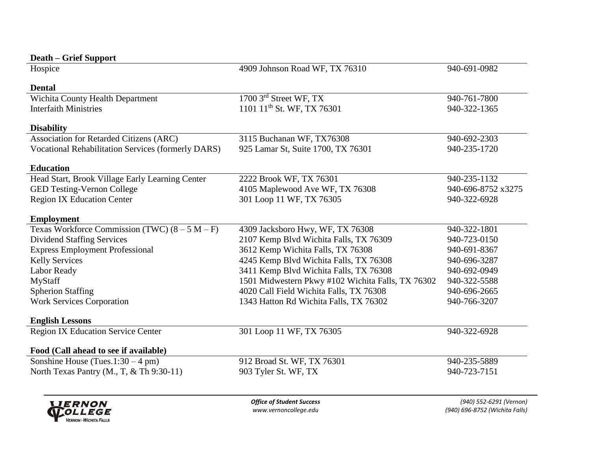| <b>Death – Grief Support</b>                              |                                                   |                    |
|-----------------------------------------------------------|---------------------------------------------------|--------------------|
| Hospice                                                   | 4909 Johnson Road WF, TX 76310                    | 940-691-0982       |
|                                                           |                                                   |                    |
| <b>Dental</b>                                             |                                                   |                    |
| <b>Wichita County Health Department</b>                   | 1700 3rd Street WF, TX                            | 940-761-7800       |
| <b>Interfaith Ministries</b>                              | 1101 11 <sup>th</sup> St. WF, TX 76301            | 940-322-1365       |
| <b>Disability</b>                                         |                                                   |                    |
| Association for Retarded Citizens (ARC)                   | 3115 Buchanan WF, TX76308                         | 940-692-2303       |
| <b>Vocational Rehabilitation Services (formerly DARS)</b> | 925 Lamar St, Suite 1700, TX 76301                | 940-235-1720       |
| <b>Education</b>                                          |                                                   |                    |
| Head Start, Brook Village Early Learning Center           | 2222 Brook WF, TX 76301                           | 940-235-1132       |
| GED Testing-Vernon College                                | 4105 Maplewood Ave WF, TX 76308                   | 940-696-8752 x3275 |
| Region IX Education Center                                | 301 Loop 11 WF, TX 76305                          | 940-322-6928       |
| <b>Employment</b>                                         |                                                   |                    |
| Texas Workforce Commission (TWC) $(8 - 5 M - F)$          | 4309 Jacksboro Hwy, WF, TX 76308                  | 940-322-1801       |
| <b>Dividend Staffing Services</b>                         | 2107 Kemp Blvd Wichita Falls, TX 76309            | 940-723-0150       |
| <b>Express Employment Professional</b>                    | 3612 Kemp Wichita Falls, TX 76308                 | 940-691-8367       |
| <b>Kelly Services</b>                                     | 4245 Kemp Blvd Wichita Falls, TX 76308            | 940-696-3287       |
| Labor Ready                                               | 3411 Kemp Blvd Wichita Falls, TX 76308            | 940-692-0949       |
| MyStaff                                                   | 1501 Midwestern Pkwy #102 Wichita Falls, TX 76302 | 940-322-5588       |
| <b>Spherion Staffing</b>                                  | 4020 Call Field Wichita Falls, TX 76308           | 940-696-2665       |
| <b>Work Services Corporation</b>                          | 1343 Hatton Rd Wichita Falls, TX 76302            | 940-766-3207       |
| <b>English Lessons</b>                                    |                                                   |                    |
| Region IX Education Service Center                        | 301 Loop 11 WF, TX 76305                          | 940-322-6928       |
| Food (Call ahead to see if available)                     |                                                   |                    |
|                                                           |                                                   |                    |
| North Texas Pantry (M., T, & Th 9:30-11)                  | 903 Tyler St. WF, TX                              | 940-723-7151       |
|                                                           |                                                   |                    |
| Sonshine House (Tues.1:30 – 4 pm)                         | 912 Broad St. WF, TX 76301                        | 940-235-5889       |



*Office of Student Success (940) 552-6291 (Vernon) www.vernoncollege.edu (940) 696-8752 (Wichita Falls)*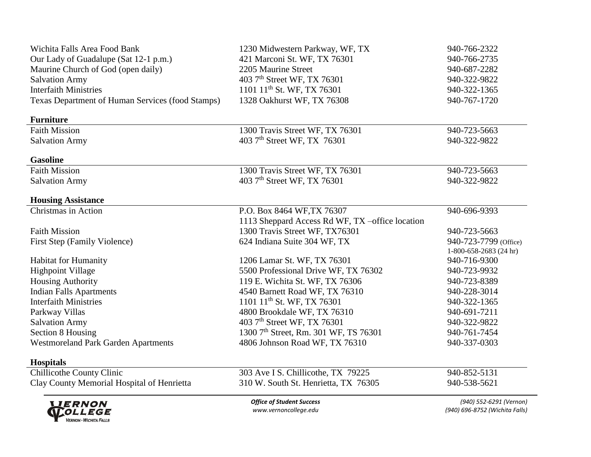| <b>LIERNON</b><br><i>OLLEGE</i>                  | <b>Office of Student Success</b><br>www.vernoncollege.edu                           | (940) 552-6291 (Vernon)<br>(940) 696-8752 (Wichita Falls) |
|--------------------------------------------------|-------------------------------------------------------------------------------------|-----------------------------------------------------------|
| Clay County Memorial Hospital of Henrietta       | 310 W. South St. Henrietta, TX 76305                                                | 940-538-5621                                              |
| <b>Chillicothe County Clinic</b>                 | 303 Ave I S. Chillicothe, TX 79225                                                  | 940-852-5131                                              |
| <b>Hospitals</b>                                 |                                                                                     |                                                           |
| <b>Westmoreland Park Garden Apartments</b>       |                                                                                     |                                                           |
| Section 8 Housing                                | 1300 7 <sup>th</sup> Street, Rm. 301 WF, TS 76301<br>4806 Johnson Road WF, TX 76310 | 940-761-7454<br>940-337-0303                              |
| <b>Salvation Army</b>                            | 403 7 <sup>th</sup> Street WF, TX 76301                                             | 940-322-9822                                              |
| Parkway Villas                                   | 4800 Brookdale WF, TX 76310                                                         | 940-691-7211                                              |
| <b>Interfaith Ministries</b>                     | 1101 11 <sup>th</sup> St. WF, TX 76301                                              | 940-322-1365                                              |
| <b>Indian Falls Apartments</b>                   | 4540 Barnett Road WF, TX 76310                                                      | 940-228-3014                                              |
| <b>Housing Authority</b>                         | 119 E. Wichita St. WF, TX 76306                                                     | 940-723-8389                                              |
| <b>Highpoint Village</b>                         | 5500 Professional Drive WF, TX 76302                                                | 940-723-9932                                              |
| <b>Habitat for Humanity</b>                      | 1206 Lamar St. WF, TX 76301                                                         | 940-716-9300                                              |
|                                                  |                                                                                     | 1-800-658-2683 (24 hr)                                    |
| First Step (Family Violence)                     | 624 Indiana Suite 304 WF, TX                                                        | 940-723-7799 (Office)                                     |
| <b>Faith Mission</b>                             | 1300 Travis Street WF, TX76301                                                      | 940-723-5663                                              |
|                                                  | 1113 Sheppard Access Rd WF, TX –office location                                     |                                                           |
| Christmas in Action                              | P.O. Box 8464 WF, TX 76307                                                          | 940-696-9393                                              |
| <b>Housing Assistance</b>                        |                                                                                     |                                                           |
| <b>Salvation Army</b>                            | 403 7 <sup>th</sup> Street WF, TX 76301                                             | 940-322-9822                                              |
| Faith Mission                                    | 1300 Travis Street WF, TX 76301                                                     | 940-723-5663                                              |
| <b>Gasoline</b>                                  |                                                                                     |                                                           |
| <b>Salvation Army</b>                            | 403 7 <sup>th</sup> Street WF, TX 76301                                             | 940-322-9822                                              |
| <b>Faith Mission</b>                             | 1300 Travis Street WF, TX 76301                                                     | 940-723-5663                                              |
| <b>Furniture</b>                                 |                                                                                     |                                                           |
| Texas Department of Human Services (food Stamps) | 1328 Oakhurst WF, TX 76308                                                          | 940-767-1720                                              |
| <b>Interfaith Ministries</b>                     | 1101 11 <sup>th</sup> St. WF, TX 76301                                              | 940-322-1365                                              |
| <b>Salvation Army</b>                            | 403 7 <sup>th</sup> Street WF, TX 76301                                             | 940-322-9822                                              |
| Maurine Church of God (open daily)               | 2205 Maurine Street                                                                 | 940-687-2282                                              |
| Our Lady of Guadalupe (Sat 12-1 p.m.)            | 421 Marconi St. WF, TX 76301                                                        | 940-766-2735                                              |
| Wichita Falls Area Food Bank                     | 1230 Midwestern Parkway, WF, TX                                                     | 940-766-2322                                              |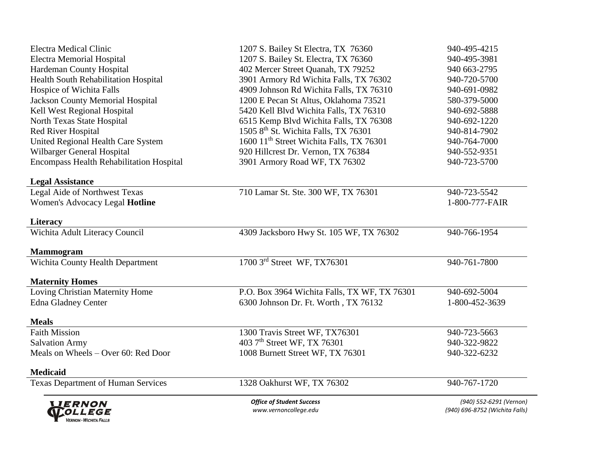| <b>LIERNON</b><br><i>OLLEGE</i><br><b>VERNON - WICHITA FALLS</b> | <b>Office of Student Success</b><br>www.vernoncollege.edu | (940) 552-6291 (Vernon)<br>(940) 696-8752 (Wichita Falls) |
|------------------------------------------------------------------|-----------------------------------------------------------|-----------------------------------------------------------|
| <b>Texas Department of Human Services</b>                        | 1328 Oakhurst WF, TX 76302                                | 940-767-1720                                              |
| <b>Medicaid</b>                                                  |                                                           |                                                           |
| Meals on Wheels - Over 60: Red Door                              | 1008 Burnett Street WF, TX 76301                          | 940-322-6232                                              |
| <b>Salvation Army</b>                                            | 403 7 <sup>th</sup> Street WF, TX 76301                   | 940-322-9822                                              |
| Faith Mission                                                    | 1300 Travis Street WF, TX76301                            | 940-723-5663                                              |
| <b>Meals</b>                                                     |                                                           |                                                           |
| <b>Edna Gladney Center</b>                                       | 6300 Johnson Dr. Ft. Worth, TX 76132                      | 1-800-452-3639                                            |
| Loving Christian Maternity Home                                  | P.O. Box 3964 Wichita Falls, TX WF, TX 76301              | 940-692-5004                                              |
| <b>Maternity Homes</b>                                           |                                                           |                                                           |
| <b>Mammogram</b><br>Wichita County Health Department             | 1700 3rd Street WF, TX76301                               | 940-761-7800                                              |
| Wichita Adult Literacy Council                                   | 4309 Jacksboro Hwy St. 105 WF, TX 76302                   | 940-766-1954                                              |
| <b>Literacy</b>                                                  |                                                           |                                                           |
| Women's Advocacy Legal Hotline                                   |                                                           | 1-800-777-FAIR                                            |
| Legal Aide of Northwest Texas                                    | 710 Lamar St. Ste. 300 WF, TX 76301                       | 940-723-5542                                              |
| <b>Legal Assistance</b>                                          |                                                           |                                                           |
| <b>Encompass Health Rehabilitation Hospital</b>                  | 3901 Armory Road WF, TX 76302                             | 940-723-5700                                              |
| Wilbarger General Hospital                                       | 920 Hillcrest Dr. Vernon, TX 76384                        | 940-552-9351                                              |
| United Regional Health Care System                               | 1600 11 <sup>th</sup> Street Wichita Falls, TX 76301      | 940-764-7000                                              |
| <b>Red River Hospital</b>                                        | 1505 8 <sup>th</sup> St. Wichita Falls, TX 76301          | 940-814-7902                                              |
| North Texas State Hospital                                       | 6515 Kemp Blvd Wichita Falls, TX 76308                    | 940-692-1220                                              |
| Kell West Regional Hospital                                      | 5420 Kell Blvd Wichita Falls, TX 76310                    | 940-692-5888                                              |
| <b>Jackson County Memorial Hospital</b>                          | 1200 E Pecan St Altus, Oklahoma 73521                     | 580-379-5000                                              |
| Hospice of Wichita Falls                                         | 4909 Johnson Rd Wichita Falls, TX 76310                   | 940-691-0982                                              |
| <b>Health South Rehabilitation Hospital</b>                      | 3901 Armory Rd Wichita Falls, TX 76302                    | 940-720-5700                                              |
| Hardeman County Hospital                                         | 402 Mercer Street Quanah, TX 79252                        | 940 663-2795                                              |
| <b>Electra Memorial Hospital</b>                                 | 1207 S. Bailey St. Electra, TX 76360                      | 940-495-3981                                              |
| <b>Electra Medical Clinic</b>                                    | 1207 S. Bailey St Electra, TX 76360                       | 940-495-4215                                              |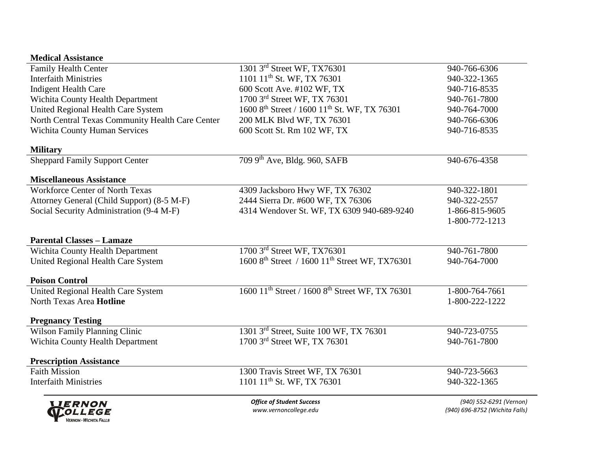### **Medical Assistance**

| <b>LIERNON</b><br><b>WOLLEGE</b>                 | <b>Office of Student Success</b><br>www.vernoncollege.edu               | (940) 552-6291 (Vernon)<br>(940) 696-8752 (Wichita Falls) |
|--------------------------------------------------|-------------------------------------------------------------------------|-----------------------------------------------------------|
| <b>Interfaith Ministries</b>                     | 1101 11 <sup>th</sup> St. WF, TX 76301                                  | 940-322-1365                                              |
| <b>Faith Mission</b>                             | 1300 Travis Street WF, TX 76301                                         | 940-723-5663                                              |
| <b>Prescription Assistance</b>                   |                                                                         |                                                           |
| <b>Wichita County Health Department</b>          | 1700 3rd Street WF, TX 76301                                            | 940-761-7800                                              |
| Wilson Family Planning Clinic                    | 1301 3rd Street, Suite 100 WF, TX 76301                                 | 940-723-0755                                              |
| <b>Pregnancy Testing</b>                         |                                                                         |                                                           |
| North Texas Area Hotline                         |                                                                         | 1-800-222-1222                                            |
| United Regional Health Care System               | 1600 11 <sup>th</sup> Street / 1600 8 <sup>th</sup> Street WF, TX 76301 | 1-800-764-7661                                            |
| <b>Poison Control</b>                            |                                                                         |                                                           |
| United Regional Health Care System               | 1600 8 <sup>th</sup> Street / 1600 11 <sup>th</sup> Street WF, TX76301  | 940-764-7000                                              |
| Wichita County Health Department                 | 1700 3rd Street WF, TX76301                                             | 940-761-7800                                              |
| <b>Parental Classes - Lamaze</b>                 |                                                                         |                                                           |
|                                                  |                                                                         | 1-800-772-1213                                            |
| Social Security Administration (9-4 M-F)         | 4314 Wendover St. WF, TX 6309 940-689-9240                              | 1-866-815-9605                                            |
| Attorney General (Child Support) (8-5 M-F)       | 2444 Sierra Dr. #600 WF, TX 76306                                       | 940-322-2557                                              |
| <b>Workforce Center of North Texas</b>           | 4309 Jacksboro Hwy WF, TX 76302                                         | 940-322-1801                                              |
| <b>Miscellaneous Assistance</b>                  |                                                                         |                                                           |
| <b>Sheppard Family Support Center</b>            | 709 9th Ave, Bldg. 960, SAFB                                            | 940-676-4358                                              |
| <b>Military</b>                                  |                                                                         |                                                           |
| Wichita County Human Services                    | 600 Scott St. Rm 102 WF, TX                                             | 940-716-8535                                              |
| North Central Texas Community Health Care Center | 200 MLK Blvd WF, TX 76301                                               | 940-766-6306                                              |
| United Regional Health Care System               | 1600 8 <sup>th</sup> Street / 1600 11 <sup>th</sup> St. WF, TX 76301    | 940-764-7000                                              |
| <b>Wichita County Health Department</b>          | 1700 3rd Street WF, TX 76301                                            | 940-761-7800                                              |
| Indigent Health Care                             | 600 Scott Ave. #102 WF, TX                                              | 940-716-8535                                              |
| <b>Interfaith Ministries</b>                     | 1101 11 <sup>th</sup> St. WF, TX 76301                                  | 940-322-1365                                              |
| <b>Family Health Center</b>                      | 1301 3rd Street WF, TX76301                                             | 940-766-6306                                              |

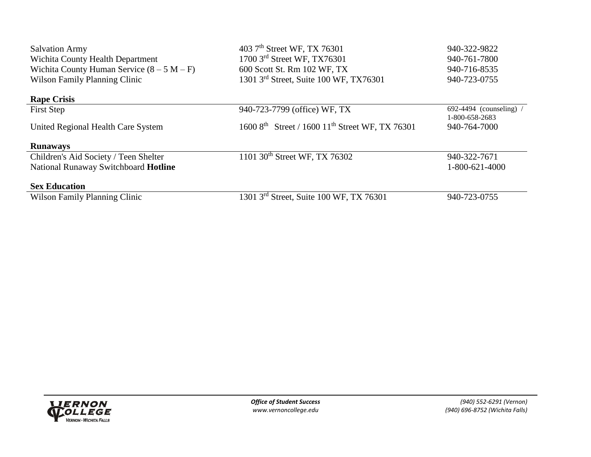| <b>Salvation Army</b>                        | 403 7 <sup>th</sup> Street WF, TX 76301                                 | 940-322-9822            |
|----------------------------------------------|-------------------------------------------------------------------------|-------------------------|
| Wichita County Health Department             | 1700 3rd Street WF, TX76301                                             | 940-761-7800            |
| Wichita County Human Service $(8 - 5 M - F)$ | 600 Scott St. Rm 102 WF, TX                                             | 940-716-8535            |
| <b>Wilson Family Planning Clinic</b>         | 1301 3rd Street, Suite 100 WF, TX76301                                  | 940-723-0755            |
| <b>Rape Crisis</b>                           |                                                                         |                         |
| First Step                                   | 940-723-7799 (office) WF, TX                                            | $692-4494$ (counseling) |
|                                              |                                                                         | 1-800-658-2683          |
| United Regional Health Care System           | 1600 8 <sup>th</sup> Street / 1600 11 <sup>th</sup> Street WF, TX 76301 | 940-764-7000            |
| <b>Runaways</b>                              |                                                                         |                         |
| Children's Aid Society / Teen Shelter        | 1101 30 <sup>th</sup> Street WF, TX 76302                               | 940-322-7671            |
| National Runaway Switchboard Hotline         |                                                                         | 1-800-621-4000          |
| <b>Sex Education</b>                         |                                                                         |                         |
| Wilson Family Planning Clinic                | 1301 3 <sup>rd</sup> Street, Suite 100 WF, TX 76301                     | 940-723-0755            |

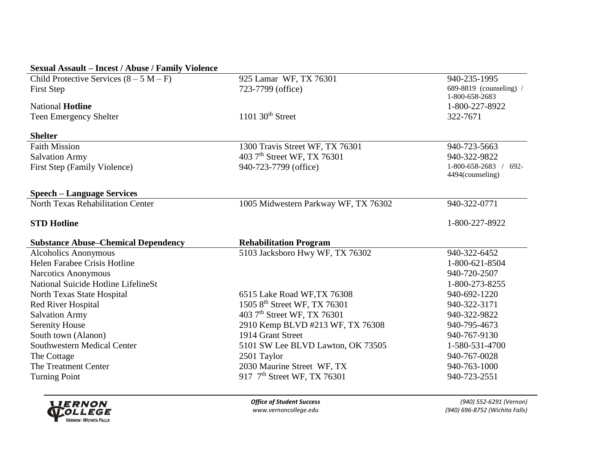| <b>Sexual Assault – Incest / Abuse / Family Violence</b>    |                                                                         |                          |
|-------------------------------------------------------------|-------------------------------------------------------------------------|--------------------------|
| Child Protective Services $(8 - 5 M - F)$                   | 925 Lamar WF, TX 76301                                                  | 940-235-1995             |
| <b>First Step</b>                                           | 723-7799 (office)                                                       | 689-8819 (counseling) /  |
|                                                             |                                                                         | 1-800-658-2683           |
| <b>National Hotline</b>                                     |                                                                         | 1-800-227-8922           |
| <b>Teen Emergency Shelter</b>                               | $1101$ 30 <sup>th</sup> Street                                          | 322-7671                 |
| <b>Shelter</b>                                              |                                                                         |                          |
| <b>Faith Mission</b>                                        | 1300 Travis Street WF, TX 76301                                         | 940-723-5663             |
| <b>Salvation Army</b>                                       | 403 7 <sup>th</sup> Street WF, TX 76301                                 | 940-322-9822             |
| <b>First Step (Family Violence)</b>                         | 940-723-7799 (office)                                                   | 1-800-658-2683 /<br>692- |
|                                                             |                                                                         | 4494(counseling)         |
| <b>Speech – Language Services</b>                           |                                                                         |                          |
| North Texas Rehabilitation Center                           | 1005 Midwestern Parkway WF, TX 76302                                    | 940-322-0771             |
|                                                             |                                                                         |                          |
| <b>STD Hotline</b>                                          |                                                                         | 1-800-227-8922           |
|                                                             |                                                                         |                          |
|                                                             |                                                                         |                          |
| <b>Substance Abuse-Chemical Dependency</b>                  | <b>Rehabilitation Program</b>                                           | 940-322-6452             |
| <b>Alcoholics Anonymous</b><br>Helen Farabee Crisis Hotline | 5103 Jacksboro Hwy WF, TX 76302                                         | 1-800-621-8504           |
| <b>Narcotics Anonymous</b>                                  |                                                                         | 940-720-2507             |
| National Suicide Hotline LifelineSt                         |                                                                         | 1-800-273-8255           |
|                                                             | 6515 Lake Road WF, TX 76308                                             | 940-692-1220             |
| North Texas State Hospital<br><b>Red River Hospital</b>     |                                                                         | 940-322-3171             |
| <b>Salvation Army</b>                                       | 1505 8th Street WF, TX 76301<br>403 7 <sup>th</sup> Street WF, TX 76301 | 940-322-9822             |
| <b>Serenity House</b>                                       | 2910 Kemp BLVD #213 WF, TX 76308                                        | 940-795-4673             |
|                                                             | 1914 Grant Street                                                       | 940-767-9130             |
| South town (Alanon)<br>Southwestern Medical Center          | 5101 SW Lee BLVD Lawton, OK 73505                                       | 1-580-531-4700           |
| The Cottage                                                 | 2501 Taylor                                                             | 940-767-0028             |
| The Treatment Center                                        | 2030 Maurine Street WF, TX                                              | 940-763-1000             |
| <b>Turning Point</b>                                        | 917 7 <sup>th</sup> Street WF, TX 76301                                 | 940-723-2551             |

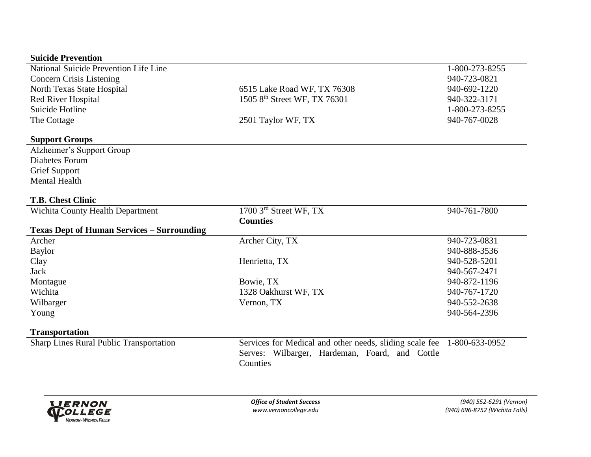#### **Suicide Prevention**

| ourne i revenum                                   |                                          |                |
|---------------------------------------------------|------------------------------------------|----------------|
| National Suicide Prevention Life Line             |                                          | 1-800-273-8255 |
| <b>Concern Crisis Listening</b>                   |                                          | 940-723-0821   |
| North Texas State Hospital                        | 6515 Lake Road WF, TX 76308              | 940-692-1220   |
| Red River Hospital                                | 1505 8 <sup>th</sup> Street WF, TX 76301 | 940-322-3171   |
| Suicide Hotline                                   |                                          | 1-800-273-8255 |
| The Cottage                                       | 2501 Taylor WF, TX                       | 940-767-0028   |
|                                                   |                                          |                |
| <b>Support Groups</b>                             |                                          |                |
| Alzheimer's Support Group                         |                                          |                |
| Diabetes Forum                                    |                                          |                |
| <b>Grief Support</b>                              |                                          |                |
| <b>Mental Health</b>                              |                                          |                |
| <b>T.B. Chest Clinic</b>                          |                                          |                |
|                                                   | $1700$ 3 <sup>rd</sup> Street WF, TX     | 940-761-7800   |
| <b>Wichita County Health Department</b>           |                                          |                |
| <b>Texas Dept of Human Services – Surrounding</b> | <b>Counties</b>                          |                |
|                                                   |                                          |                |
| Archer                                            | Archer City, TX                          | 940-723-0831   |
| Baylor                                            |                                          | 940-888-3536   |
| Clay                                              | Henrietta, TX                            | 940-528-5201   |
| Jack                                              |                                          | 940-567-2471   |
| Montague                                          | Bowie, TX                                | 940-872-1196   |
| Wichita                                           | 1328 Oakhurst WF, TX                     | 940-767-1720   |
| Wilbarger                                         | Vernon, TX                               | 940-552-2638   |
| Young                                             |                                          | 940-564-2396   |

#### **Transportation**

Sharp Lines Rural Public Transportation Services for Medical and other needs, sliding scale fee 1-800-633-0952 Serves: Wilbarger, Hardeman, Foard, and Cottle Counties

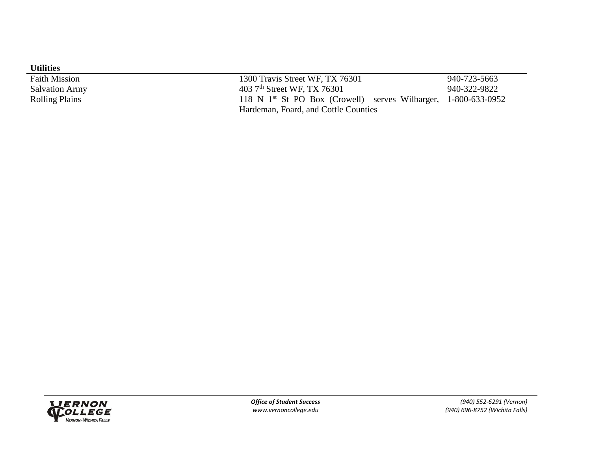| <b>Utilities</b>      |                                                                  |              |
|-----------------------|------------------------------------------------------------------|--------------|
| <b>Faith Mission</b>  | 1300 Travis Street WF, TX 76301                                  | 940-723-5663 |
| <b>Salvation Army</b> | 403 7 <sup>th</sup> Street WF, TX 76301                          | 940-322-9822 |
| <b>Rolling Plains</b> | 118 N $1st$ St PO Box (Crowell) serves Wilbarger, 1-800-633-0952 |              |
|                       | Hardeman, Foard, and Cottle Counties                             |              |

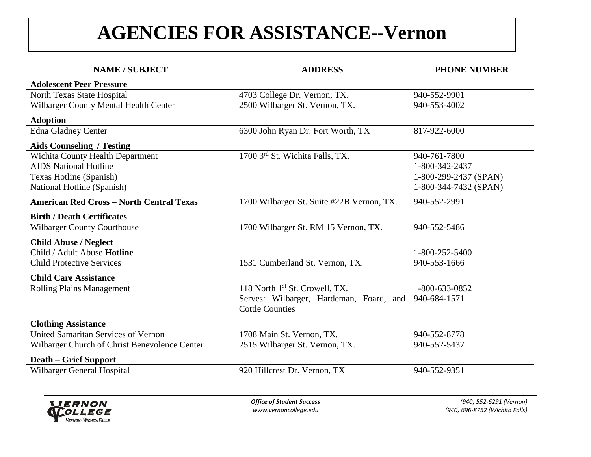## **AGENCIES FOR ASSISTANCE--Vernon**

| <b>NAME / SUBJECT</b>                           | <b>ADDRESS</b>                             | <b>PHONE NUMBER</b>   |
|-------------------------------------------------|--------------------------------------------|-----------------------|
| <b>Adolescent Peer Pressure</b>                 |                                            |                       |
| North Texas State Hospital                      | 4703 College Dr. Vernon, TX.               | 940-552-9901          |
| Wilbarger County Mental Health Center           | 2500 Wilbarger St. Vernon, TX.             | 940-553-4002          |
| <b>Adoption</b>                                 |                                            |                       |
| <b>Edna Gladney Center</b>                      | 6300 John Ryan Dr. Fort Worth, TX          | 817-922-6000          |
| <b>Aids Counseling / Testing</b>                |                                            |                       |
| <b>Wichita County Health Department</b>         | 1700 3rd St. Wichita Falls, TX.            | 940-761-7800          |
| <b>AIDS</b> National Hotline                    |                                            | 1-800-342-2437        |
| Texas Hotline (Spanish)                         |                                            | 1-800-299-2437 (SPAN) |
| National Hotline (Spanish)                      |                                            | 1-800-344-7432 (SPAN) |
| <b>American Red Cross - North Central Texas</b> | 1700 Wilbarger St. Suite #22B Vernon, TX.  | 940-552-2991          |
| <b>Birth / Death Certificates</b>               |                                            |                       |
| <b>Wilbarger County Courthouse</b>              | 1700 Wilbarger St. RM 15 Vernon, TX.       | 940-552-5486          |
| <b>Child Abuse / Neglect</b>                    |                                            |                       |
| Child / Adult Abuse Hotline                     |                                            | 1-800-252-5400        |
| <b>Child Protective Services</b>                | 1531 Cumberland St. Vernon, TX.            | 940-553-1666          |
| <b>Child Care Assistance</b>                    |                                            |                       |
| <b>Rolling Plains Management</b>                | 118 North 1 <sup>st</sup> St. Crowell, TX. | 1-800-633-0852        |
|                                                 | Serves: Wilbarger, Hardeman, Foard, and    | 940-684-1571          |
|                                                 | <b>Cottle Counties</b>                     |                       |
| <b>Clothing Assistance</b>                      |                                            |                       |
| United Samaritan Services of Vernon             | 1708 Main St. Vernon, TX.                  | 940-552-8778          |
| Wilbarger Church of Christ Benevolence Center   | 2515 Wilbarger St. Vernon, TX.             | 940-552-5437          |
| <b>Death – Grief Support</b>                    |                                            |                       |
| Wilbarger General Hospital                      | 920 Hillcrest Dr. Vernon, TX               | 940-552-9351          |
|                                                 |                                            |                       |

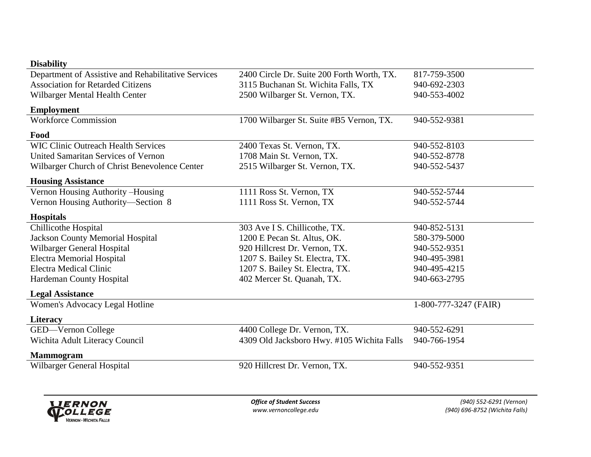| <b>Disability</b>                                   |                                            |                       |
|-----------------------------------------------------|--------------------------------------------|-----------------------|
| Department of Assistive and Rehabilitative Services | 2400 Circle Dr. Suite 200 Forth Worth, TX. | 817-759-3500          |
| <b>Association for Retarded Citizens</b>            | 3115 Buchanan St. Wichita Falls, TX        | 940-692-2303          |
| Wilbarger Mental Health Center                      | 2500 Wilbarger St. Vernon, TX.             | 940-553-4002          |
| <b>Employment</b>                                   |                                            |                       |
| <b>Workforce Commission</b>                         | 1700 Wilbarger St. Suite #B5 Vernon, TX.   | 940-552-9381          |
| Food                                                |                                            |                       |
| <b>WIC Clinic Outreach Health Services</b>          | 2400 Texas St. Vernon, TX.                 | 940-552-8103          |
| United Samaritan Services of Vernon                 | 1708 Main St. Vernon, TX.                  | 940-552-8778          |
| Wilbarger Church of Christ Benevolence Center       | 2515 Wilbarger St. Vernon, TX.             | 940-552-5437          |
| <b>Housing Assistance</b>                           |                                            |                       |
| Vernon Housing Authority-Housing                    | 1111 Ross St. Vernon, TX                   | 940-552-5744          |
| Vernon Housing Authority-Section 8                  | 1111 Ross St. Vernon, TX                   | 940-552-5744          |
| <b>Hospitals</b>                                    |                                            |                       |
| Chillicothe Hospital                                | 303 Ave I S. Chillicothe, TX.              | 940-852-5131          |
| <b>Jackson County Memorial Hospital</b>             | 1200 E Pecan St. Altus, OK.                | 580-379-5000          |
| Wilbarger General Hospital                          | 920 Hillcrest Dr. Vernon, TX.              | 940-552-9351          |
| <b>Electra Memorial Hospital</b>                    | 1207 S. Bailey St. Electra, TX.            | 940-495-3981          |
| <b>Electra Medical Clinic</b>                       | 1207 S. Bailey St. Electra, TX.            | 940-495-4215          |
| Hardeman County Hospital                            | 402 Mercer St. Quanah, TX.                 | 940-663-2795          |
| <b>Legal Assistance</b>                             |                                            |                       |
| Women's Advocacy Legal Hotline                      |                                            | 1-800-777-3247 (FAIR) |
| <b>Literacy</b>                                     |                                            |                       |
| GED-Vernon College                                  | 4400 College Dr. Vernon, TX.               | 940-552-6291          |
| Wichita Adult Literacy Council                      | 4309 Old Jacksboro Hwy. #105 Wichita Falls | 940-766-1954          |
| <b>Mammogram</b>                                    |                                            |                       |
| Wilbarger General Hospital                          | 920 Hillcrest Dr. Vernon, TX.              | 940-552-9351          |
|                                                     |                                            |                       |
|                                                     |                                            |                       |

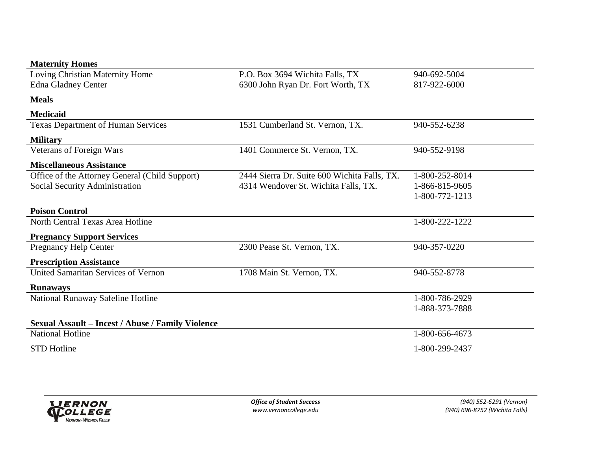| Loving Christian Maternity Home                          | P.O. Box 3694 Wichita Falls, TX              | 940-692-5004   |
|----------------------------------------------------------|----------------------------------------------|----------------|
| <b>Edna Gladney Center</b>                               | 6300 John Ryan Dr. Fort Worth, TX            | 817-922-6000   |
| <b>Meals</b>                                             |                                              |                |
| <b>Medicaid</b>                                          |                                              |                |
| <b>Texas Department of Human Services</b>                | 1531 Cumberland St. Vernon, TX.              | 940-552-6238   |
| <b>Military</b>                                          |                                              |                |
| Veterans of Foreign Wars                                 | 1401 Commerce St. Vernon, TX.                | 940-552-9198   |
| <b>Miscellaneous Assistance</b>                          |                                              |                |
| Office of the Attorney General (Child Support)           | 2444 Sierra Dr. Suite 600 Wichita Falls, TX. | 1-800-252-8014 |
| Social Security Administration                           | 4314 Wendover St. Wichita Falls, TX.         | 1-866-815-9605 |
|                                                          |                                              | 1-800-772-1213 |
| <b>Poison Control</b>                                    |                                              |                |
| North Central Texas Area Hotline                         |                                              | 1-800-222-1222 |
| <b>Pregnancy Support Services</b>                        |                                              |                |
| <b>Pregnancy Help Center</b>                             | 2300 Pease St. Vernon, TX.                   | 940-357-0220   |
| <b>Prescription Assistance</b>                           |                                              |                |
| United Samaritan Services of Vernon                      | 1708 Main St. Vernon, TX.                    | 940-552-8778   |
| <b>Runaways</b>                                          |                                              |                |
| National Runaway Safeline Hotline                        |                                              | 1-800-786-2929 |
|                                                          |                                              | 1-888-373-7888 |
| <b>Sexual Assault – Incest / Abuse / Family Violence</b> |                                              |                |
| <b>National Hotline</b>                                  |                                              | 1-800-656-4673 |
| <b>STD Hotline</b>                                       |                                              | 1-800-299-2437 |

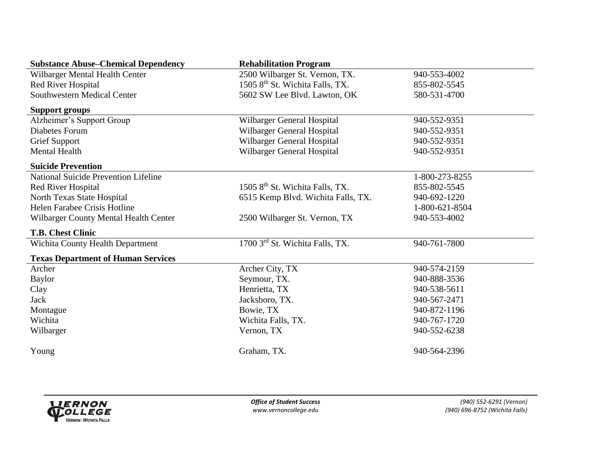| <b>Substance Abuse–Chemical Dependency</b>  | <b>Rehabilitation Program</b>               |                |
|---------------------------------------------|---------------------------------------------|----------------|
| Wilbarger Mental Health Center              | 2500 Wilbarger St. Vernon, TX.              | 940-553-4002   |
| Red River Hospital                          | 1505 8 <sup>th</sup> St. Wichita Falls, TX. | 855-802-5545   |
| Southwestern Medical Center                 | 5602 SW Lee Blvd. Lawton, OK                | 580-531-4700   |
| <b>Support groups</b>                       |                                             |                |
| Alzheimer's Support Group                   | Wilbarger General Hospital                  | 940-552-9351   |
| Diabetes Forum                              | Wilbarger General Hospital                  | 940-552-9351   |
| <b>Grief Support</b>                        | Wilbarger General Hospital                  | 940-552-9351   |
| <b>Mental Health</b>                        | Wilbarger General Hospital                  | 940-552-9351   |
| <b>Suicide Prevention</b>                   |                                             |                |
| <b>National Suicide Prevention Lifeline</b> |                                             | 1-800-273-8255 |
| Red River Hospital                          | 1505 8 <sup>th</sup> St. Wichita Falls, TX. | 855-802-5545   |
| North Texas State Hospital                  | 6515 Kemp Blvd. Wichita Falls, TX.          | 940-692-1220   |
| Helen Farabee Crisis Hotline                |                                             | 1-800-621-8504 |
| Wilbarger County Mental Health Center       | 2500 Wilbarger St. Vernon, TX               | 940-553-4002   |
| <b>T.B. Chest Clinic</b>                    |                                             |                |
| <b>Wichita County Health Department</b>     | 1700 3rd St. Wichita Falls, TX.             | 940-761-7800   |
| <b>Texas Department of Human Services</b>   |                                             |                |
| Archer                                      | Archer City, TX                             | 940-574-2159   |
| <b>Baylor</b>                               | Seymour, TX.                                | 940-888-3536   |
| Clay                                        | Henrietta, TX                               | 940-538-5611   |
| Jack                                        | Jacksboro, TX.                              | 940-567-2471   |
| Montague                                    | Bowie, TX                                   | 940-872-1196   |
| Wichita                                     | Wichita Falls, TX.                          | 940-767-1720   |
| Wilbarger                                   | Vernon, TX                                  | 940-552-6238   |
| Young                                       | Graham, TX.                                 | 940-564-2396   |